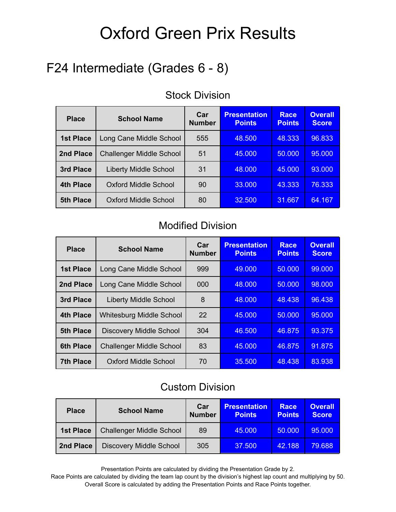## F24 Intermediate (Grades 6 - 8)

| <b>Place</b>     | <b>School Name</b>              | Car<br><b>Number</b> | <b>Presentation</b><br><b>Points</b> | <b>Race</b><br><b>Points</b> | <b>Overall</b><br><b>Score</b> |
|------------------|---------------------------------|----------------------|--------------------------------------|------------------------------|--------------------------------|
| <b>1st Place</b> | Long Cane Middle School         | 555                  | 48.500                               | 48.333                       | 96.833                         |
| 2nd Place        | <b>Challenger Middle School</b> | 51                   | 45,000                               | 50,000                       | 95,000                         |
| 3rd Place        | <b>Liberty Middle School</b>    | 31                   | 48.000                               | 45,000                       | 93.000                         |
| 4th Place        | <b>Oxford Middle School</b>     | 90                   | 33.000                               | 43.333                       | 76.333                         |
| <b>5th Place</b> | <b>Oxford Middle School</b>     | 80                   | 32.500                               | 31.667                       | 64.167                         |

#### Stock Division

#### Modified Division

| <b>Place</b>     | <b>School Name</b>              | Car<br><b>Number</b> | <b>Presentation</b><br><b>Points</b> | <b>Race</b><br><b>Points</b> | <b>Overall</b><br><b>Score</b> |
|------------------|---------------------------------|----------------------|--------------------------------------|------------------------------|--------------------------------|
| <b>1st Place</b> | Long Cane Middle School         | 999                  | 49.000                               | 50.000                       | 99,000                         |
| 2nd Place        | Long Cane Middle School         | 000                  | 48.000                               | 50.000                       | 98,000                         |
| 3rd Place        | <b>Liberty Middle School</b>    | 8                    | 48,000                               | 48.438                       | 96.438                         |
| <b>4th Place</b> | <b>Whitesburg Middle School</b> | 22                   | 45,000                               | 50,000                       | 95,000                         |
| <b>5th Place</b> | <b>Discovery Middle School</b>  | 304                  | 46.500                               | 46.875                       | 93.375                         |
| <b>6th Place</b> | <b>Challenger Middle School</b> | 83                   | 45.000                               | 46.875                       | 91.875                         |
| <b>7th Place</b> | <b>Oxford Middle School</b>     | 70                   | 35.500                               | 48.438                       | 83.938                         |

#### Custom Division

| <b>Place</b> | <b>School Name</b>              | Car<br><b>Number</b> | <b>Presentation</b><br><b>Points</b> | Race<br><b>Points</b> | <b>Overall</b><br><b>Score</b> |
|--------------|---------------------------------|----------------------|--------------------------------------|-----------------------|--------------------------------|
| 1st Place    | <b>Challenger Middle School</b> | 89                   | 45.000                               | 50.000                | 95,000                         |
| 2nd Place    | <b>Discovery Middle School</b>  | 305                  | 37.500                               | 42.188                | 79.688                         |

Presentation Points are calculated by dividing the Presentation Grade by 2.

Race Points are calculated by dividing the team lap count by the division's highest lap count and multiplying by 50. Overall Score is calculated by adding the Presentation Points and Race Points together.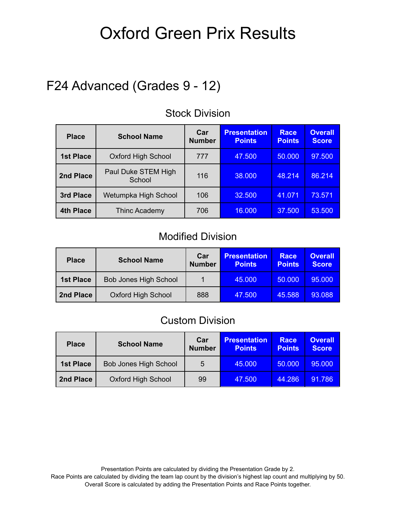## F24 Advanced (Grades 9 - 12)

| <b>Place</b>     | <b>School Name</b>            | Car<br><b>Number</b> | <b>Presentation</b><br><b>Points</b> | <b>Race</b><br><b>Points</b> | <b>Overall</b><br><b>Score</b> |
|------------------|-------------------------------|----------------------|--------------------------------------|------------------------------|--------------------------------|
| <b>1st Place</b> | <b>Oxford High School</b>     | 777                  | 47.500                               | 50.000                       | 97.500                         |
| 2nd Place        | Paul Duke STEM High<br>School | 116                  | 38.000                               | 48.214                       | 86.214                         |
| 3rd Place        | Wetumpka High School          | 106                  | 32.500                               | 41.071                       | 73.571                         |
| 4th Place        | Thinc Academy                 | 706                  | 16.000                               | 37.500                       | 53.500                         |

#### Stock Division

#### Modified Division

| <b>Place</b>     | <b>School Name</b>           | Car<br><b>Number</b> | <b>Presentation</b><br><b>Points</b> | Race<br><b>Points</b> | <b>Overall</b><br><b>Score</b> |
|------------------|------------------------------|----------------------|--------------------------------------|-----------------------|--------------------------------|
| <b>1st Place</b> | <b>Bob Jones High School</b> |                      | 45.000                               | 50.000                | 95,000                         |
| 2nd Place        | <b>Oxford High School</b>    | 888                  | 47.500                               | 45.588                | 93.088                         |

#### Custom Division

| <b>Place</b>     | <b>School Name</b>           | Car<br><b>Number</b> | <b>Presentation</b><br><b>Points</b> | Race<br><b>Points</b> | <b>Overall</b><br><b>Score</b> |
|------------------|------------------------------|----------------------|--------------------------------------|-----------------------|--------------------------------|
| <b>1st Place</b> | <b>Bob Jones High School</b> | 5                    | 45.000                               | 50,000                | 95.000                         |
| 2nd Place        | <b>Oxford High School</b>    | 99                   | 47.500                               | 44.286                | 91.786                         |

Presentation Points are calculated by dividing the Presentation Grade by 2. Race Points are calculated by dividing the team lap count by the division's highest lap count and multiplying by 50. Overall Score is calculated by adding the Presentation Points and Race Points together.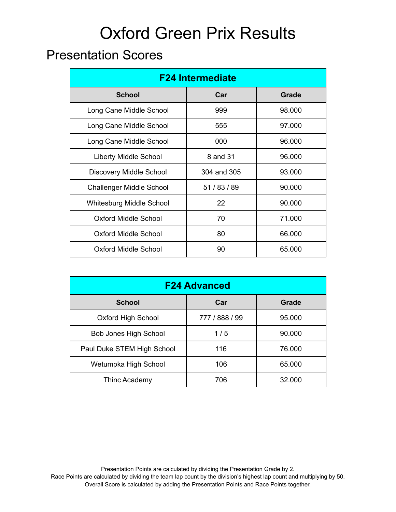### Presentation Scores

| <b>F24 Intermediate</b>         |              |              |  |  |  |
|---------------------------------|--------------|--------------|--|--|--|
| <b>School</b>                   | Car          | <b>Grade</b> |  |  |  |
| Long Cane Middle School         | 999          | 98.000       |  |  |  |
| Long Cane Middle School         | 555          | 97.000       |  |  |  |
| Long Cane Middle School         | 000          | 96.000       |  |  |  |
| <b>Liberty Middle School</b>    | 8 and 31     | 96.000       |  |  |  |
| <b>Discovery Middle School</b>  | 304 and 305  | 93.000       |  |  |  |
| <b>Challenger Middle School</b> | 51 / 83 / 89 | 90.000       |  |  |  |
| <b>Whitesburg Middle School</b> | 22           | 90.000       |  |  |  |
| <b>Oxford Middle School</b>     | 70           | 71.000       |  |  |  |
| <b>Oxford Middle School</b>     | 80           | 66,000       |  |  |  |
| <b>Oxford Middle School</b>     | 90           | 65.000       |  |  |  |

| <b>F24 Advanced</b>          |                |              |  |  |  |  |
|------------------------------|----------------|--------------|--|--|--|--|
| <b>School</b>                | Car            | <b>Grade</b> |  |  |  |  |
| <b>Oxford High School</b>    | 777 / 888 / 99 | 95,000       |  |  |  |  |
| <b>Bob Jones High School</b> | 1/5            | 90,000       |  |  |  |  |
| Paul Duke STEM High School   | 116            | 76.000       |  |  |  |  |
| Wetumpka High School         | 106            | 65.000       |  |  |  |  |
| Thinc Academy                | 706            | 32,000       |  |  |  |  |

Presentation Points are calculated by dividing the Presentation Grade by 2. Race Points are calculated by dividing the team lap count by the division's highest lap count and multiplying by 50. Overall Score is calculated by adding the Presentation Points and Race Points together.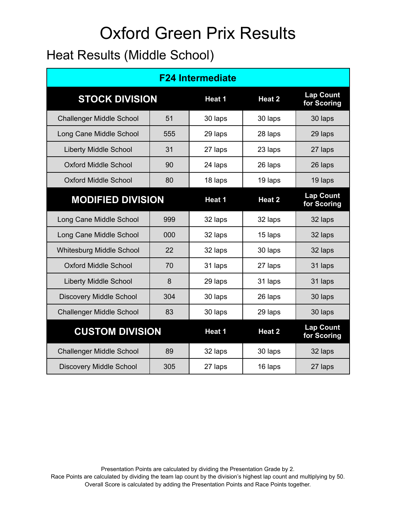### Heat Results (Middle School)

| <b>F24 Intermediate</b>         |     |         |         |                                 |  |  |
|---------------------------------|-----|---------|---------|---------------------------------|--|--|
| <b>STOCK DIVISION</b>           |     | Heat 1  | Heat 2  | <b>Lap Count</b><br>for Scoring |  |  |
| <b>Challenger Middle School</b> | 51  | 30 laps | 30 laps | 30 laps                         |  |  |
| Long Cane Middle School         | 555 | 29 laps | 28 laps | 29 laps                         |  |  |
| <b>Liberty Middle School</b>    | 31  | 27 laps | 23 laps | 27 laps                         |  |  |
| <b>Oxford Middle School</b>     | 90  | 24 laps | 26 laps | 26 laps                         |  |  |
| <b>Oxford Middle School</b>     | 80  | 18 laps | 19 laps | 19 laps                         |  |  |
| <b>MODIFIED DIVISION</b>        |     | Heat 1  | Heat 2  | <b>Lap Count</b><br>for Scoring |  |  |
| Long Cane Middle School         | 999 | 32 laps | 32 laps | 32 laps                         |  |  |
| Long Cane Middle School         | 000 | 32 laps | 15 laps | 32 laps                         |  |  |
| Whitesburg Middle School        | 22  | 32 laps | 30 laps | 32 laps                         |  |  |
| <b>Oxford Middle School</b>     | 70  | 31 laps | 27 laps | 31 laps                         |  |  |
| <b>Liberty Middle School</b>    | 8   | 29 laps | 31 laps | 31 laps                         |  |  |
| <b>Discovery Middle School</b>  | 304 | 30 laps | 26 laps | 30 laps                         |  |  |
| <b>Challenger Middle School</b> | 83  | 30 laps | 29 laps | 30 laps                         |  |  |
| <b>CUSTOM DIVISION</b>          |     | Heat 1  | Heat 2  | <b>Lap Count</b><br>for Scoring |  |  |
| <b>Challenger Middle School</b> | 89  | 32 laps | 30 laps | 32 laps                         |  |  |
| <b>Discovery Middle School</b>  | 305 | 27 laps | 16 laps | 27 laps                         |  |  |

Presentation Points are calculated by dividing the Presentation Grade by 2. Race Points are calculated by dividing the team lap count by the division's highest lap count and multiplying by 50. Overall Score is calculated by adding the Presentation Points and Race Points together.